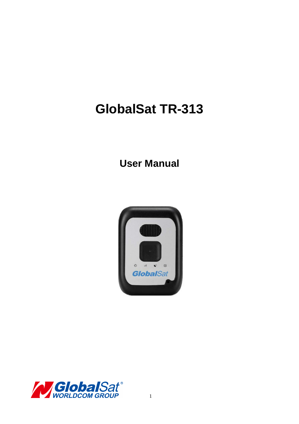# **GlobalSat TR-313**

# **User Manual**



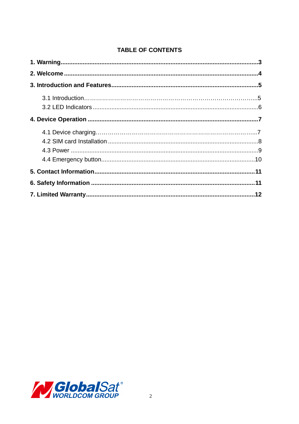#### **TABLE OF CONTENTS**

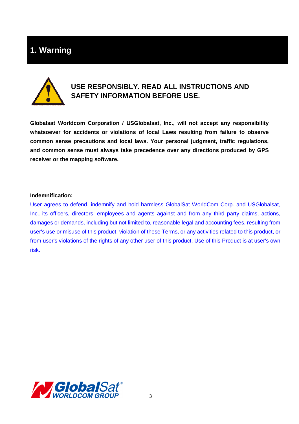# **1. Warning**



## **USE RESPONSIBLY. READ ALL INSTRUCTIONS AND SAFETY INFORMATION BEFORE USE.**

**Globalsat Worldcom Corporation / USGlobalsat, Inc., will not accept any responsibility whatsoever for accidents or violations of local Laws resulting from failure to observe common sense precautions and local laws. Your personal judgment, traffic regulations, and common sense must always take precedence over any directions produced by GPS receiver or the mapping software.** 

#### **Indemnification:**

User agrees to defend, indemnify and hold harmless GlobalSat WorldCom Corp. and USGlobalsat, Inc., its officers, directors, employees and agents against and from any third party claims, actions, damages or demands, including but not limited to, reasonable legal and accounting fees, resulting from user's use or misuse of this product, violation of these Terms, or any activities related to this product, or from user's violations of the rights of any other user of this product. Use of this Product is at user's own risk.

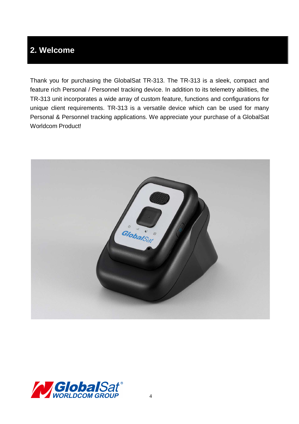# **2. Welcome**

Thank you for purchasing the GlobalSat TR-313. The TR-313 is a sleek, compact and feature rich Personal / Personnel tracking device. In addition to its telemetry abilities, the TR-313 unit incorporates a wide array of custom feature, functions and configurations for unique client requirements. TR-313 is a versatile device which can be used for many Personal & Personnel tracking applications. We appreciate your purchase of a GlobalSat Worldcom Product!



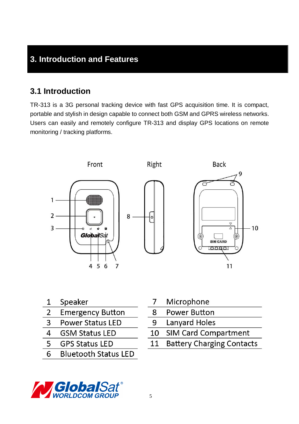# **3. Introduction and Features**

## **3.1 Introduction**

TR-313 is a 3G personal tracking device with fast GPS acquisition time. It is compact, portable and stylish in design capable to connect both GSM and GPRS wireless networks. Users can easily and remotely configure TR-313 and display GPS locations on remote monitoring / tracking platforms.



- Speaker 1
- $\overline{2}$ **Emergency Button**
- 3 **Power Status LED**
- 4 **GSM Status LED**
- 5 **GPS Status LED**
- **Bluetooth Status LED** 6
- Microphone  $\overline{7}$
- 8 **Power Button**
- 9 **Lanyard Holes**
- **SIM Card Compartment** 10
- **Battery Charging Contacts** 11

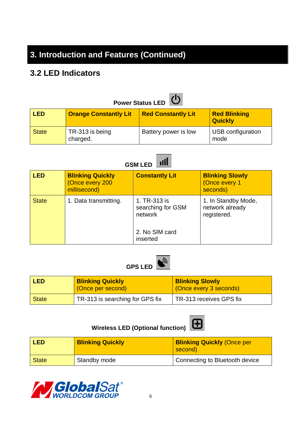# **3. Introduction and Features (Continued)**

# **3.2 LED Indicators**

| <b>Power Status LED</b> |                              |                           |                                       |  |
|-------------------------|------------------------------|---------------------------|---------------------------------------|--|
| <b>LED</b>              | <b>Orange Constantly Lit</b> | <b>Red Constantly Lit</b> | <b>Red Blinking</b><br><b>Quickly</b> |  |
| <b>State</b>            | TR-313 is being<br>charged.  | Battery power is low      | USB configuration<br>mode             |  |

 $\sim$   $\sim$ 

| пШ<br><b>GSM LED</b> |                                                            |                                                                            |                                                       |  |
|----------------------|------------------------------------------------------------|----------------------------------------------------------------------------|-------------------------------------------------------|--|
| <b>LED</b>           | <b>Blinking Quickly</b><br>(Once every 200<br>millisecond) | <b>Constantly Lit</b>                                                      | <b>Blinking Slowly</b><br>(Once every 1<br>seconds)   |  |
| <b>State</b>         | 1. Data transmitting.                                      | 1. TR-313 is<br>searching for GSM<br>network<br>2. No SIM card<br>inserted | 1. In Standby Mode,<br>network already<br>registered. |  |



| <b>LED</b>   | <b>Blinking Quickly</b><br>(Once per second) | <b>Blinking Slowly</b><br>(Once every 3 seconds) |
|--------------|----------------------------------------------|--------------------------------------------------|
| <b>State</b> | $\sqrt{ }$ TR-313 is searching for GPS fix   | TR-313 receives GPS fix                          |

# Wireless LED (Optional function) **H**



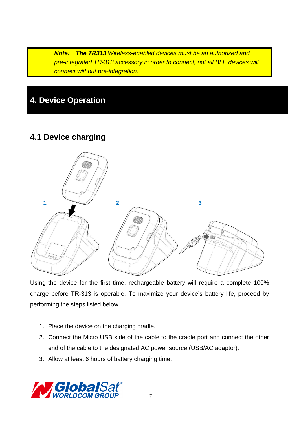**Note: The TR313** Wireless-enabled devices must be an authorized and pre-integrated TR-313 accessory in order to connect, not all BLE devices will connect without pre-integration.

# **4. Device Operation**

## **4.1 Device charging**



Using the device for the first time, rechargeable battery will require a complete 100% charge before TR-313 is operable. To maximize your device's battery life, proceed by performing the steps listed below.

- 1. Place the device on the charging cradle.
- 2. Connect the Micro USB side of the cable to the cradle port and connect the other end of the cable to the designated AC power source (USB/AC adaptor).
- 3. Allow at least 6 hours of battery charging time.

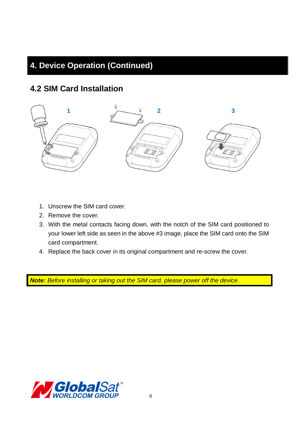# **4. Device Operation (Continued)**

## **4.2 SIM Card Installation**



- 1. Unscrew the SIM card cover.
- 2. Remove the cover.
- 3. With the metal contacts facing down, with the notch of the SIM card positioned to your lower left side as seen in the above #3 image, place the SIM card onto the SIM card compartment.
- 4. Replace the back cover in its original compartment and re-screw the cover.

**Note:** Before installing or taking out the SIM card, please power off the device.

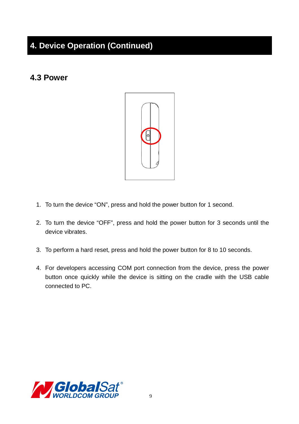# **4. Device Operation (Continued)**

## **4.3 Power**



- 1. To turn the device "ON", press and hold the power button for 1 second.
- 2. To turn the device "OFF", press and hold the power button for 3 seconds until the device vibrates.
- 3. To perform a hard reset, press and hold the power button for 8 to 10 seconds.
- 4. For developers accessing COM port connection from the device, press the power button once quickly while the device is sitting on the cradle with the USB cable connected to PC.

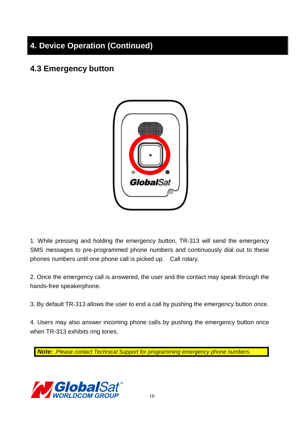# **4. Device Operation (Continued)**

## **4.3 Emergency button**



1. While pressing and holding the emergency button, TR-313 will send the emergency SMS messages to pre-programmed phone numbers and continuously dial out to these phones numbers until one phone call is picked up. Call rotary.

2. Once the emergency call is answered, the user and the contact may speak through the hands-free speakerphone.

3. By default TR-313 allows the user to end a call by pushing the emergency button once.

4. Users may also answer incoming phone calls by pushing the emergency button once when TR-313 exhibits ring tones.

**Note:** .Please contact Technical Support for programming emergency phone numbers.

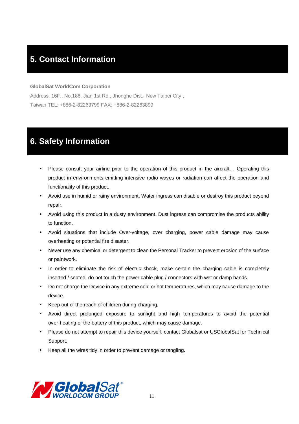# **5. Contact Information**

#### **GlobalSat WorldCom Corporation**

Address: 16F., No.186, Jian 1st Rd., Jhonghe Dist., New Taipei City , Taiwan TEL: +886-2-82263799 FAX: +886-2-82263899

# **6. Safety Information**

- Please consult your airline prior to the operation of this product in the aircraft. . Operating this product in environments emitting intensive radio waves or radiation can affect the operation and functionality of this product.
- Avoid use in humid or rainy environment. Water ingress can disable or destroy this product beyond repair.
- Avoid using this product in a dusty environment. Dust ingress can compromise the products ability to function.
- Avoid situations that include Over-voltage, over charging, power cable damage may cause overheating or potential fire disaster.
- Never use any chemical or detergent to clean the Personal Tracker to prevent erosion of the surface or paintwork.
- In order to eliminate the risk of electric shock, make certain the charging cable is completely inserted / seated, do not touch the power cable plug / connectors with wet or damp hands.
- Do not charge the Device in any extreme cold or hot temperatures, which may cause damage to the device.
- Keep out of the reach of children during charging.
- Avoid direct prolonged exposure to sunlight and high temperatures to avoid the potential over-heating of the battery of this product, which may cause damage.
- Please do not attempt to repair this device yourself, contact Globalsat or USGlobalSat for Technical Support.
- Keep all the wires tidy in order to prevent damage or tangling.

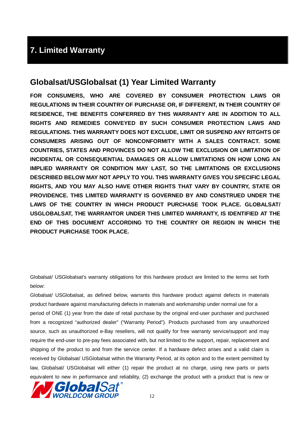# **7. Limited Warranty**

### **Globalsat/USGlobalsat (1) Year Limited Warranty**

**FOR CONSUMERS, WHO ARE COVERED BY CONSUMER PROTECTION LAWS OR REGULATIONS IN THEIR COUNTRY OF PURCHASE OR, IF DIFFERENT, IN THEIR COUNTRY OF RESIDENCE, THE BENEFITS CONFERRED BY THIS WARRANTY ARE IN ADDITION TO ALL RIGHTS AND REMEDIES CONVEYED BY SUCH CONSUMER PROTECTION LAWS AND REGULATIONS. THIS WARRANTY DOES NOT EXCLUDE, LIMIT OR SUSPEND ANY RITGHTS OF CONSUMERS ARISING OUT OF NONCONFORMITY WITH A SALES CONTRACT. SOME COUNTRIES, STATES AND PROVINCES DO NOT ALLOW THE EXCLUSION OR LIMITATION OF INCIDENTAL OR CONSEQUENTIAL DAMAGES OR ALLOW LIMITATIONS ON HOW LONG AN IMPLIED WARRANTY OR CONDITION MAY LAST, SO THE LIMITATIONS OR EXCLUSIONS DESCRIBED BELOW MAY NOT APPLY TO YOU. THIS WARRANTY GIVES YOU SPECIFIC LEGAL RIGHTS, AND YOU MAY ALSO HAVE OTHER RIGHTS THAT VARY BY COUNTRY, STATE OR PROVIDENCE. THIS LIMITED WARRANTY IS GOVERNED BY AND CONSTRUED UNDER THE LAWS OF THE COUNTRY IN WHICH PRODUCT PURCHASE TOOK PLACE. GLOBALSAT/ USGLOBALSAT, THE WARRANTOR UNDER THIS LIMITED WARRANTY, IS IDENTIFIED AT THE END OF THIS DOCUMENT ACCORDING TO THE COUNTRY OR REGION IN WHICH THE PRODUCT PURCHASE TOOK PLACE.**

Globalsat/ USGlobalsat's warranty obligations for this hardware product are limited to the terms set forth below:

Globalsat/ USGlobalsat, as defined below, warrants this hardware product against defects in materials product hardware against manufacturing defects in materials and workmanship under normal use for a period of ONE (1) year from the date of retail purchase by the original end-user purchaser and purchased from a recognized "authorized dealer" ("Warranty Period"). Products purchased from any unauthorized source, such as unauthorized e-Bay resellers, will not qualify for free warranty service/support and may require the end-user to pre-pay fees associated with, but not limited to the support, repair, replacement and shipping of the product to and from the service center. If a hardware defect arises and a valid claim is received by Globalsat/ USGlobalsat within the Warranty Period, at its option and to the extent permitted by law, Globalsat/ USGlobalsat will either (1) repair the product at no charge, using new parts or parts equivalent to new in performance and reliability, (2) exchange the product with a product that is new or

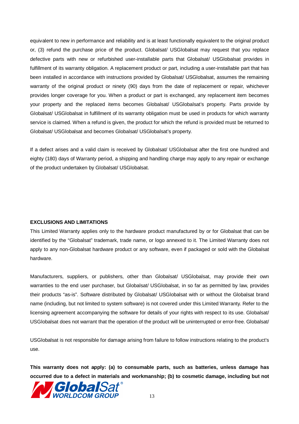equivalent to new in performance and reliability and is at least functionally equivalent to the original product or, (3) refund the purchase price of the product. Globalsat/ USGlobalsat may request that you replace defective parts with new or refurbished user-installable parts that Globalsat/ USGlobalsat provides in fulfillment of its warranty obligation. A replacement product or part, including a user-installable part that has been installed in accordance with instructions provided by Globalsat/ USGlobalsat, assumes the remaining warranty of the original product or ninety (90) days from the date of replacement or repair, whichever provides longer coverage for you. When a product or part is exchanged, any replacement item becomes your property and the replaced items becomes Globalsat/ USGlobalsat's property. Parts provide by Globalsat/ USGlobalsat in fulfillment of its warranty obligation must be used in products for which warranty service is claimed. When a refund is given, the product for which the refund is provided must be returned to Globalsat/ USGlobalsat and becomes Globalsat/ USGlobalsat's property.

If a defect arises and a valid claim is received by Globalsat/ USGlobalsat after the first one hundred and eighty (180) days of Warranty period, a shipping and handling charge may apply to any repair or exchange of the product undertaken by Globalsat/ USGlobalsat.

#### **EXCLUSIONS AND LIMITATIONS**

This Limited Warranty applies only to the hardware product manufactured by or for Globalsat that can be identified by the "Globalsat" trademark, trade name, or logo annexed to it. The Limited Warranty does not apply to any non-Globalsat hardware product or any software, even if packaged or sold with the Globalsat hardware.

Manufacturers, suppliers, or publishers, other than Globalsat/ USGlobalsat, may provide their own warranties to the end user purchaser, but Globalsat/ USGlobalsat, in so far as permitted by law, provides their products "as-is". Software distributed by Globalsat/ USGlobalsat with or without the Globalsat brand name (including, but not limited to system software) is not covered under this Limited Warranty. Refer to the licensing agreement accompanying the software for details of your rights with respect to its use. Globalsat/ USGlobalsat does not warrant that the operation of the product will be uninterrupted or error-free. Globalsat/

USGlobalsat is not responsible for damage arising from failure to follow instructions relating to the product's use.

**This warranty does not apply: (a) to consumable parts, such as batteries, unless damage has occurred due to a defect in materials and workmanship; (b) to cosmetic damage, including but not** 

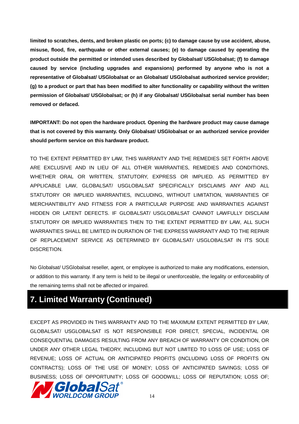**limited to scratches, dents, and broken plastic on ports; (c) to damage cause by use accident, abuse, misuse, flood, fire, earthquake or other external causes; (e) to damage caused by operating the product outside the permitted or intended uses described by Globalsat/ USGlobalsat; (f) to damage caused by service (including upgrades and expansions) performed by anyone who is not a representative of Globalsat/ USGlobalsat or an Globalsat/ USGlobalsat authorized service provider; (g) to a product or part that has been modified to alter functionality or capability without the written permission of Globalsat/ USGlobalsat; or (h) if any Globalsat/ USGlobalsat serial number has been removed or defaced.** 

**IMPORTANT: Do not open the hardware product. Opening the hardware product may cause damage that is not covered by this warranty. Only Globalsat/ USGlobalsat or an authorized service provider should perform service on this hardware product.** 

TO THE EXTENT PERMITTED BY LAW, THIS WARRANTY AND THE REMEDIES SET FORTH ABOVE ARE EXCLUSIVE AND IN LIEU OF ALL OTHER WARRANTIES, REMEDIES AND CONDITIONS, WHETHER ORAL OR WRITTEN, STATUTORY, EXPRESS OR IMPLIED. AS PERMITTED BY APPLICABLE LAW, GLOBALSAT/ USGLOBALSAT SPECIFICALLY DISCLAIMS ANY AND ALL STATUTORY OR IMPLIED WARRANTIES, INCLUDING, WITHOUT LIMITATION, WARRANTIES OF MERCHANTIBILITY AND FITNESS FOR A PARTICULAR PURPOSE AND WARRANTIES AGAINST HIDDEN OR LATENT DEFECTS. IF GLOBALSAT/ USGLOBALSAT CANNOT LAWFULLY DISCLAIM STATUTORY OR IMPLIED WARRANTIES THEN TO THE EXTENT PERMITTED BY LAW, ALL SUCH WARRANTIES SHALL BE LIMITED IN DURATION OF THE EXPRESS WARRANTY AND TO THE REPAIR OF REPLACEMENT SERVICE AS DETERMINED BY GLOBALSAT/ USGLOBALSAT IN ITS SOLE DISCRETION.

No Globalsat/ USGlobalsat reseller, agent, or employee is authorized to make any modifications, extension, or addition to this warranty. If any term is held to be illegal or unenforceable, the legality or enforceability of the remaining terms shall not be affected or impaired.

# **7. Limited Warranty (Continued)**

EXCEPT AS PROVIDED IN THIS WARRANTY AND TO THE MAXIMUM EXTENT PERMITTED BY LAW, GLOBALSAT/ USGLOBALSAT IS NOT RESPONSIBLE FOR DIRECT, SPECIAL, INCIDENTAL OR CONSEQUENTIAL DAMAGES RESULTING FROM ANY BREACH OF WARRANTY OR CONDITION, OR UNDER ANY OTHER LEGAL THEORY, INCLUDING BUT NOT LIMITED TO LOSS OF USE; LOSS OF REVENUE; LOSS OF ACTUAL OR ANTICIPATED PROFITS (INCLUDING LOSS OF PROFITS ON CONTRACTS); LOSS OF THE USE OF MONEY; LOSS OF ANTICIPATED SAVINGS; LOSS OF BUSINESS; LOSS OF OPPORTUNITY; LOSS OF GOODWILL; LOSS OF REPUTATION; LOSS OF;

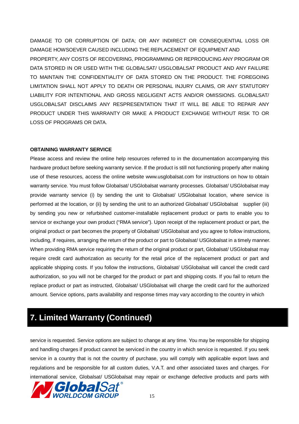DAMAGE TO OR CORRUPTION OF DATA; OR ANY INDIRECT OR CONSEQUENTIAL LOSS OR DAMAGE HOWSOEVER CAUSED INCLUDING THE REPLACEMENT OF EQUIPMENT AND PROPERTY, ANY COSTS OF RECOVERING, PROGRAMMING OR REPRODUCING ANY PROGRAM OR DATA STORED IN OR USED WITH THE GLOBALSAT/ USGLOBALSAT PRODUCT AND ANY FAILURE TO MAINTAIN THE CONFIDENTIALITY OF DATA STORED ON THE PRODUCT. THE FOREGOING LIMITATION SHALL NOT APPLY TO DEATH OR PERSONAL INJURY CLAIMS, OR ANY STATUTORY LIABILITY FOR INTENTIONAL AND GROSS NEGLIGENT ACTS AND/OR OMISSIONS. GLOBALSAT/ USGLOBALSAT DISCLAIMS ANY RESPRESENTATION THAT IT WILL BE ABLE TO REPAIR ANY PRODUCT UNDER THIS WARRANTY OR MAKE A PRODUCT EXCHANGE WITHOUT RISK TO OR LOSS OF PROGRAMS OR DATA.

#### **OBTAINING WARRANTY SERVICE**

Please access and review the online help resources referred to in the documentation accompanying this hardware product before seeking warranty service. If the product is still not functioning properly after making use of these resources, access the online website www.usglobalsat.com for instructions on how to obtain warranty service. You must follow Globalsat/ USGlobalsat warranty processes. Globalsat/ USGlobalsat may provide warranty service (i) by sending the unit to Globalsat/ USGlobalsat location, where service is performed at the location, or (ii) by sending the unit to an authorized Globalsat/ USGlobalsat supplier (iii) by sending you new or refurbished customer-installable replacement product or parts to enable you to service or exchange your own product ("RMA service"). Upon receipt of the replacement product or part, the original product or part becomes the property of Globalsat/ USGlobalsat and you agree to follow instructions, including, if requires, arranging the return of the product or part to Globalsat/ USGlobalsat in a timely manner. When providing RMA service requiring the return of the original product or part, Globalsat/ USGlobalsat may require credit card authorization as security for the retail price of the replacement product or part and applicable shipping costs. If you follow the instructions, Globalsat/ USGlobalsat will cancel the credit card authorization, so you will not be charged for the product or part and shipping costs. If you fail to return the replace product or part as instructed, Globalsat/ USGlobalsat will charge the credit card for the authorized amount. Service options, parts availability and response times may vary according to the country in which

## **7. Limited Warranty (Continued)**

service is requested. Service options are subject to change at any time. You may be responsible for shipping and handling charges if product cannot be serviced in the country in which service is requested. If you seek service in a country that is not the country of purchase, you will comply with applicable export laws and regulations and be responsible for all custom duties, V.A.T. and other associated taxes and charges. For international service, Globalsat/ USGlobalsat may repair or exchange defective products and parts with

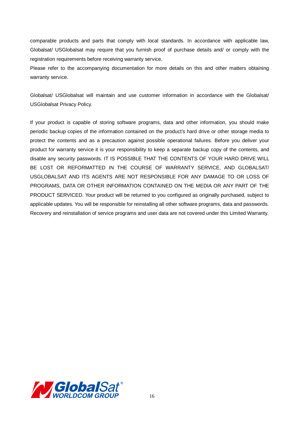comparable products and parts that comply with local standards. In accordance with applicable law, Globalsat/ USGlobalsat may require that you furnish proof of purchase details and/ or comply with the registration requirements before receiving warranty service.

Please refer to the accompanying documentation for more details on this and other matters obtaining warranty service.

Globalsat/ USGlobalsat will maintain and use customer information in accordance with the Globalsat/ USGlobalsat Privacy Policy.

If your product is capable of storing software programs, data and other information, you should make periodic backup copies of the information contained on the product's hard drive or other storage media to protect the contents and as a precaution against possible operational failures. Before you deliver your product for warranty service it is your responsibility to keep a separate backup copy of the contents, and disable any security passwords. IT IS POSSIBLE THAT THE CONTENTS OF YOUR HARD DRIVE WILL BE LOST OR REFORMATTED IN THE COURSE OF WARRANTY SERVICE, AND GLOBALSAT/ USGLOBALSAT AND ITS AGENTS ARE NOT RESPONSIBLE FOR ANY DAMAGE TO OR LOSS OF PROGRAMS, DATA OR OTHER INFORMATION CONTAINED ON THE MEDIA OR ANY PART OF THE PRODUCT SERVICED. Your product will be returned to you configured as originally purchased, subject to applicable updates. You will be responsible for reinstalling all other software programs, data and passwords. Recovery and reinstallation of service programs and user data are not covered under this Limited Warranty.